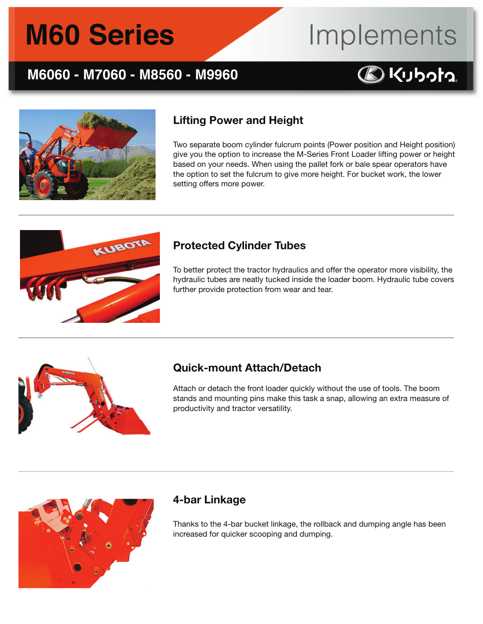## **M60 Series**

### M6060 - M7060 - M8560 - M9960

# Implements

### **BKUbota**



#### Lifting Power and Height

Two separate boom cylinder fulcrum points (Power position and Height position) give you the option to increase the M-Series Front Loader lifting power or height based on your needs. When using the pallet fork or bale spear operators have the option to set the fulcrum to give more height. For bucket work, the lower setting offers more power.



#### Protected Cylinder Tubes

To better protect the tractor hydraulics and offer the operator more visibility, the hydraulic tubes are neatly tucked inside the loader boom. Hydraulic tube covers further provide protection from wear and tear.



#### Quick-mount Attach/Detach

Attach or detach the front loader quickly without the use of tools. The boom stands and mounting pins make this task a snap, allowing an extra measure of productivity and tractor versatility.



#### 4-bar Linkage

Thanks to the 4-bar bucket linkage, the rollback and dumping angle has been increased for quicker scooping and dumping.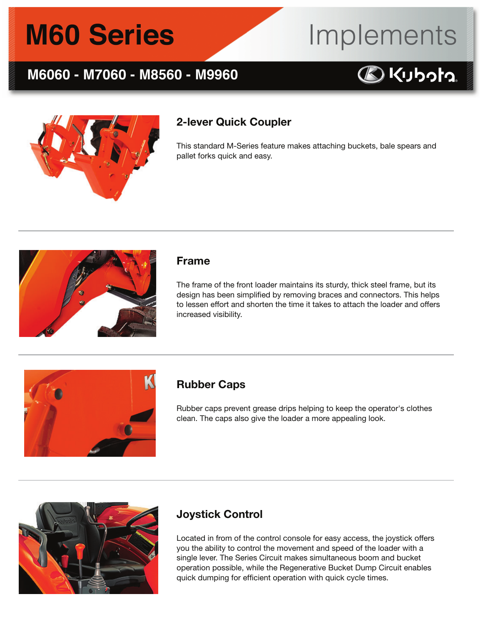## **M60 Series**

### M6060 - M7060 - M8560 - M9960

# Implements

### **BKUbota**



#### 2-lever Quick Coupler

This standard M-Series feature makes attaching buckets, bale spears and pallet forks quick and easy.



#### Frame

The frame of the front loader maintains its sturdy, thick steel frame, but its design has been simplified by removing braces and connectors. This helps to lessen effort and shorten the time it takes to attach the loader and offers increased visibility.



#### Rubber Caps

Rubber caps prevent grease drips helping to keep the operator's clothes clean. The caps also give the loader a more appealing look.



#### Joystick Control

Located in from of the control console for easy access, the joystick offers you the ability to control the movement and speed of the loader with a single lever. The Series Circuit makes simultaneous boom and bucket operation possible, while the Regenerative Bucket Dump Circuit enables quick dumping for efficient operation with quick cycle times.